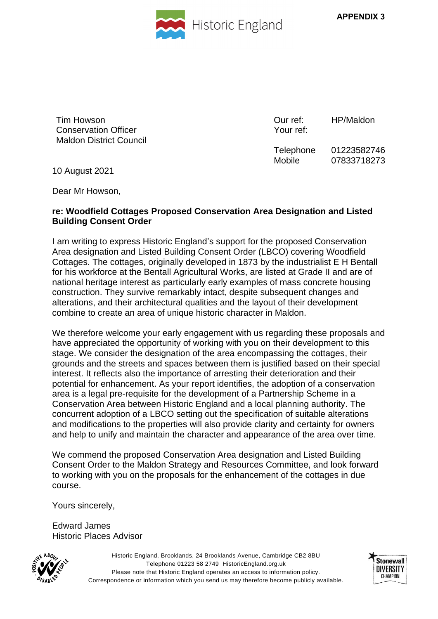



Tim Howson Conservation Officer Maldon District Council Our ref: Your ref: HP/Maldon

Telephone Mobile 01223582746 07833718273

10 August 2021

Dear Mr Howson,

## **re: Woodfield Cottages Proposed Conservation Area Designation and Listed Building Consent Order**

I am writing to express Historic England's support for the proposed Conservation Area designation and Listed Building Consent Order (LBCO) covering Woodfield Cottages. The cottages, originally developed in 1873 by the industrialist E H Bentall for his workforce at the Bentall Agricultural Works, are listed at Grade II and are of national heritage interest as particularly early examples of mass concrete housing construction. They survive remarkably intact, despite subsequent changes and alterations, and their architectural qualities and the layout of their development combine to create an area of unique historic character in Maldon.

We therefore welcome your early engagement with us regarding these proposals and have appreciated the opportunity of working with you on their development to this stage. We consider the designation of the area encompassing the cottages, their grounds and the streets and spaces between them is justified based on their special interest. It reflects also the importance of arresting their deterioration and their potential for enhancement. As your report identifies, the adoption of a conservation area is a legal pre-requisite for the development of a Partnership Scheme in a Conservation Area between Historic England and a local planning authority. The concurrent adoption of a LBCO setting out the specification of suitable alterations and modifications to the properties will also provide clarity and certainty for owners and help to unify and maintain the character and appearance of the area over time.

We commend the proposed Conservation Area designation and Listed Building Consent Order to the Maldon Strategy and Resources Committee, and look forward to working with you on the proposals for the enhancement of the cottages in due course.

Yours sincerely,

Edward James Historic Places Advisor



Historic England, Brooklands, 24 Brooklands Avenue, Cambridge CB2 8BU Telephone 01223 58 2749 HistoricEngland.org.uk Please note that Historic England operates an access to information policy. Correspondence or information which you send us may therefore become publicly available.